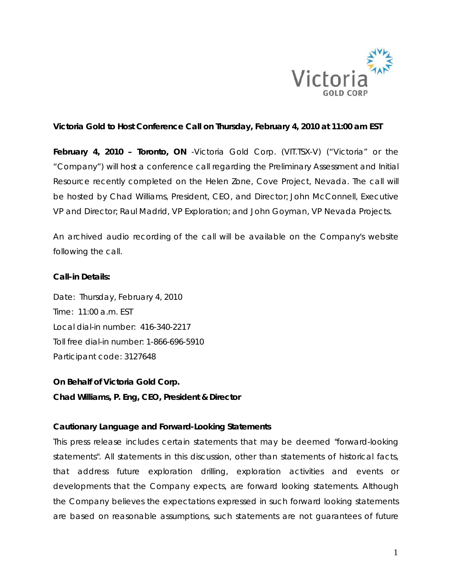

## **Victoria Gold to Host Conference Call on Thursday, February 4, 2010 at 11:00 am EST**

**February 4, 2010 – Toronto, ON** -Victoria Gold Corp. (VIT.TSX-V) ("Victoria" or the "Company") will host a conference call regarding the Preliminary Assessment and Initial Resource recently completed on the Helen Zone, Cove Project, Nevada. The call will be hosted by Chad Williams, President, CEO, and Director; John McConnell, Executive VP and Director; Raul Madrid, VP Exploration; and John Goyman, VP Nevada Projects.

An archived audio recording of the call will be available on the Company's website following the call.

## **Call-in Details:**

Date: Thursday, February 4, 2010 Time: 11:00 a.m. EST Local dial-in number: 416-340-2217 Toll free dial-in number: 1-866-696-5910 Participant code: 3127648

**On Behalf of Victoria Gold Corp. Chad Williams, P. Eng, CEO, President & Director** 

## *Cautionary Language and Forward-Looking Statements*

*This press release includes certain statements that may be deemed "forward-looking statements". All statements in this discussion, other than statements of historical facts, that address future exploration drilling, exploration activities and events or developments that the Company expects, are forward looking statements. Although the Company believes the expectations expressed in such forward looking statements are based on reasonable assumptions, such statements are not guarantees of future*